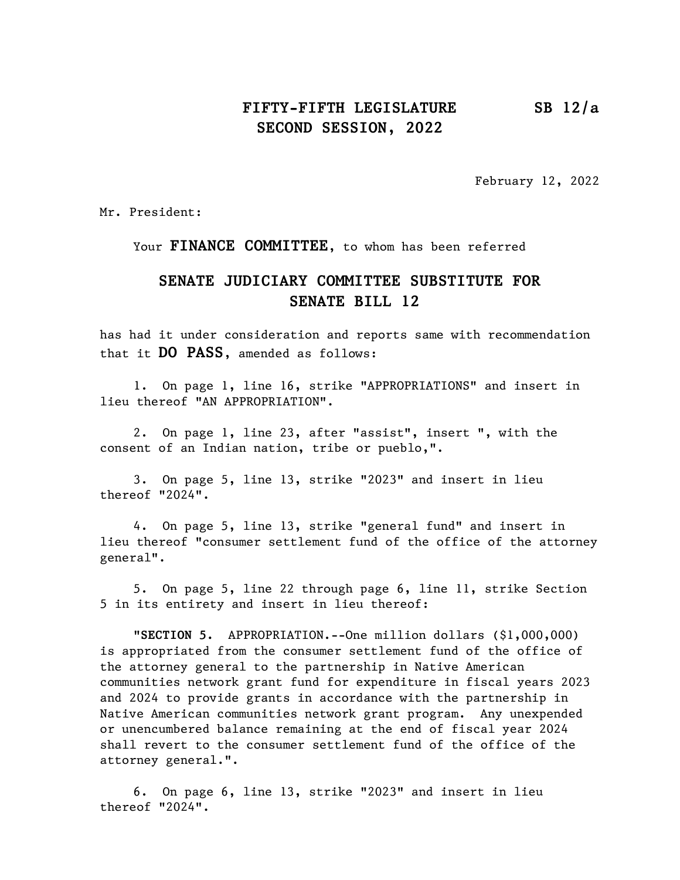## FIFTY-FIFTH LEGISLATURE SB 12/a SECOND SESSION, 2022

February 12, 2022

Mr. President:

Your FINANCE COMMITTEE, to whom has been referred

## SENATE JUDICIARY COMMITTEE SUBSTITUTE FOR SENATE BILL 12

has had it under consideration and reports same with recommendation that it DO PASS, amended as follows:

1. On page 1, line 16, strike "APPROPRIATIONS" and insert in lieu thereof "AN APPROPRIATION".

2. On page 1, line 23, after "assist", insert ", with the consent of an Indian nation, tribe or pueblo,".

3. On page 5, line 13, strike "2023" and insert in lieu thereof "2024".

4. On page 5, line 13, strike "general fund" and insert in lieu thereof "consumer settlement fund of the office of the attorney general".

5. On page 5, line 22 through page 6, line 11, strike Section 5 in its entirety and insert in lieu thereof:

"SECTION 5. APPROPRIATION.--One million dollars (\$1,000,000) is appropriated from the consumer settlement fund of the office of the attorney general to the partnership in Native American communities network grant fund for expenditure in fiscal years 2023 and 2024 to provide grants in accordance with the partnership in Native American communities network grant program. Any unexpended or unencumbered balance remaining at the end of fiscal year 2024 shall revert to the consumer settlement fund of the office of the attorney general.".

6. On page 6, line 13, strike "2023" and insert in lieu thereof "2024".